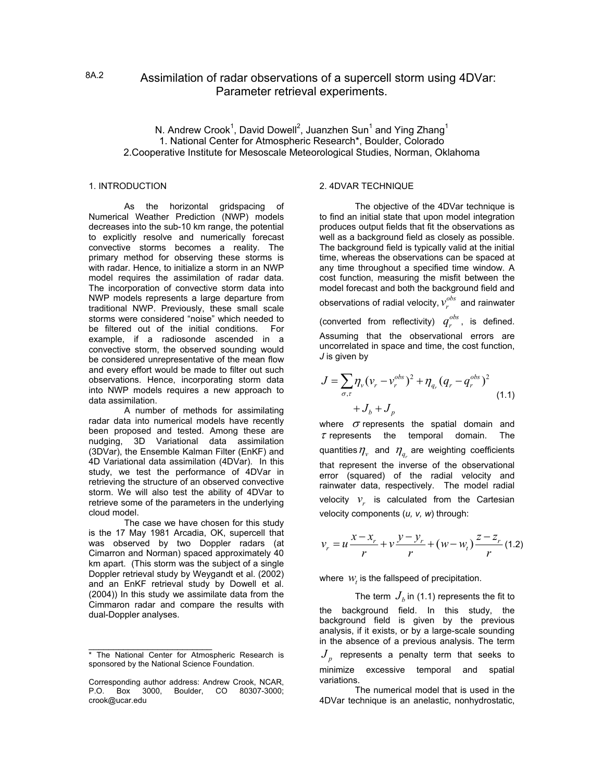# 8A.2 Assimilation of radar observations of a supercell storm using 4DVar: Parameter retrieval experiments.

# N. Andrew Crook<sup>1</sup>, David Dowell<sup>2</sup>, Juanzhen Sun<sup>1</sup> and Ying Zhang<sup>1</sup> 1. National Center for Atmospheric Research\*, Boulder, Colorado 2.Cooperative Institute for Mesoscale Meteorological Studies, Norman, Oklahoma

As the horizontal gridspacing of Numerical Weather Prediction (NWP) models decreases into the sub-10 km range, the potential to explicitly resolve and numerically forecast convective storms becomes a reality. The primary method for observing these storms is with radar. Hence, to initialize a storm in an NWP model requires the assimilation of radar data. The incorporation of convective storm data into NWP models represents a large departure from traditional NWP. Previously, these small scale storms were considered "noise" which needed to be filtered out of the initial conditions. For example, if a radiosonde ascended in a convective storm, the observed sounding would be considered unrepresentative of the mean flow and every effort would be made to filter out such observations. Hence, incorporating storm data into NWP models requires a new approach to data assimilation.

A number of methods for assimilating radar data into numerical models have recently been proposed and tested. Among these are nudging, 3D Variational data assimilation (3DVar), the Ensemble Kalman Filter (EnKF) and 4D Variational data assimilation (4DVar). In this study, we test the performance of 4DVar in retrieving the structure of an observed convective storm. We will also test the ability of 4DVar to retrieve some of the parameters in the underlying cloud model.

The case we have chosen for this study is the 17 May 1981 Arcadia, OK, supercell that was observed by two Doppler radars (at Cimarron and Norman) spaced approximately 40 km apart. (This storm was the subject of a single Doppler retrieval study by Weygandt et al. (2002) and an EnKF retrieval study by Dowell et al. (2004)) In this study we assimilate data from the Cimmaron radar and compare the results with dual-Doppler analyses.

### 1. INTRODUCTION 2. 4DVAR TECHNIQUE

The objective of the 4DVar technique is to find an initial state that upon model integration produces output fields that fit the observations as well as a background field as closely as possible. The background field is typically valid at the initial time, whereas the observations can be spaced at any time throughout a specified time window. A cost function, measuring the misfit between the model forecast and both the background field and observations of radial velocity,  $v^{\textit{obs}}_{r}$  and rainwater (converted from reflectivity)  $q_r^{obs}$ , is defined. Assuming that the observational errors are uncorrelated in space and time, the cost function, *J* is given by

$$
J = \sum_{\sigma,\tau} \eta_{\nu} (v_r - v_r^{obs})^2 + \eta_{q_r} (q_r - q_r^{obs})^2
$$
  
+  $J_b + J_p$  (1.1)

where  $\sigma$  represents the spatial domain and  $\tau$  represents the temporal domain. The quantities  $\eta_{_v}$  and  $\,\eta_{_{q_{_r}}}$  are weighting coefficients that represent the inverse of the observational error (squared) of the radial velocity and rainwater data, respectively. The model radial velocity  $v_r$  is calculated from the Cartesian velocity components (*u, v, w*) through:

$$
v_r = u \frac{x - x_r}{r} + v \frac{y - y_r}{r} + (w - w_t) \frac{z - z_r}{r}
$$
 (1.2)

where  $W<sub>i</sub>$  is the fallspeed of precipitation.

The term  $J_b$  in (1.1) represents the fit to the background field. In this study, the background field is given by the previous analysis, if it exists, or by a large-scale sounding in the absence of a previous analysis. The term  $J<sub>n</sub>$  represents a penalty term that seeks to minimize excessive temporal and spatial variations.

The numerical model that is used in the 4DVar technique is an anelastic, nonhydrostatic,

<sup>\*</sup> The National Center for Atmospheric Research is  $J_p$ sponsored by the National Science Foundation.

Corresponding author address: Andrew Crook, NCAR, P.O. Box 3000, Boulder, CO 80307-3000; crook@ucar.edu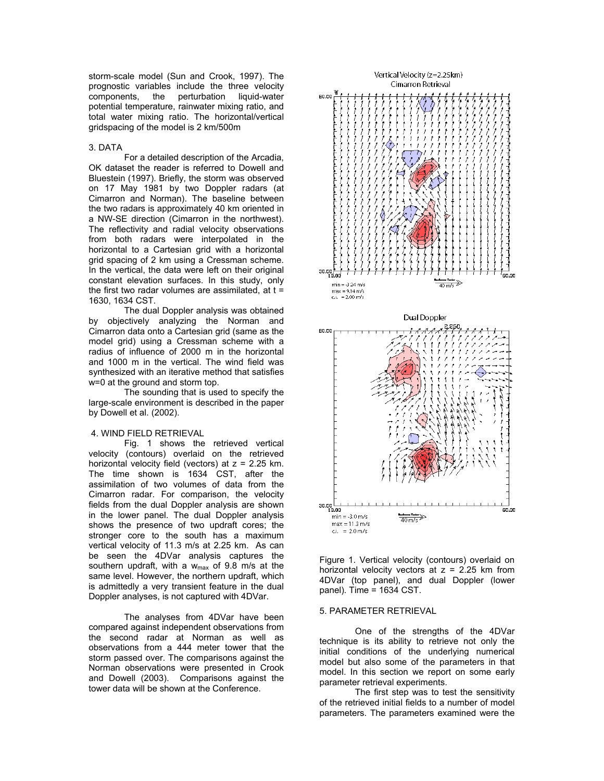storm-scale model (Sun and Crook, 1997). The prognostic variables include the three velocity<br>components, the perturbation liquid-water the perturbation potential temperature, rainwater mixing ratio, and total water mixing ratio. The horizontal/vertical gridspacing of the model is 2 km/500m

#### 3. DATA

For a detailed description of the Arcadia, OK dataset the reader is referred to Dowell and Bluestein (1997). Briefly, the storm was observed on 17 May 1981 by two Doppler radars (at Cimarron and Norman). The baseline between the two radars is approximately 40 km oriented in a NW-SE direction (Cimarron in the northwest). The reflectivity and radial velocity observations from both radars were interpolated in the horizontal to a Cartesian grid with a horizontal grid spacing of 2 km using a Cressman scheme. In the vertical, the data were left on their original constant elevation surfaces. In this study, only the first two radar volumes are assimilated, at  $t =$ 1630, 1634 CST.

The dual Doppler analysis was obtained by objectively analyzing the Norman and Cimarron data onto a Cartesian grid (same as the model grid) using a Cressman scheme with a radius of influence of 2000 m in the horizontal and 1000 m in the vertical. The wind field was synthesized with an iterative method that satisfies w=0 at the ground and storm top.

The sounding that is used to specify the large-scale environment is described in the paper by Dowell et al. (2002).

### 4. WIND FIELD RETRIEVAL

Fig. 1 shows the retrieved vertical velocity (contours) overlaid on the retrieved horizontal velocity field (vectors) at  $z = 2.25$  km. The time shown is 1634 CST, after the assimilation of two volumes of data from the Cimarron radar. For comparison, the velocity fields from the dual Doppler analysis are shown in the lower panel. The dual Doppler analysis shows the presence of two updraft cores; the stronger core to the south has a maximum vertical velocity of 11.3 m/s at 2.25 km. As can be seen the 4DVar analysis captures the southern updraft, with a  $w_{max}$  of 9.8 m/s at the same level. However, the northern updraft, which is admittedly a very transient feature in the dual Doppler analyses, is not captured with 4DVar.

5. PARAMETER RETRIEVAL The analyses from 4DVar have been compared against independent observations from the second radar at Norman as well as observations from a 444 meter tower that the storm passed over. The comparisons against the Norman observations were presented in Crook and Dowell (2003). Comparisons against the tower data will be shown at the Conference.



Figure 1. Vertical velocity (contours) overlaid on horizontal velocity vectors at  $z = 2.25$  km from 4DVar (top panel), and dual Doppler (lower panel). Time = 1634 CST.

One of the strengths of the 4DVar technique is its ability to retrieve not only the initial conditions of the underlying numerical model but also some of the parameters in that model. In this section we report on some early parameter retrieval experiments.

The first step was to test the sensitivity of the retrieved initial fields to a number of model parameters. The parameters examined were the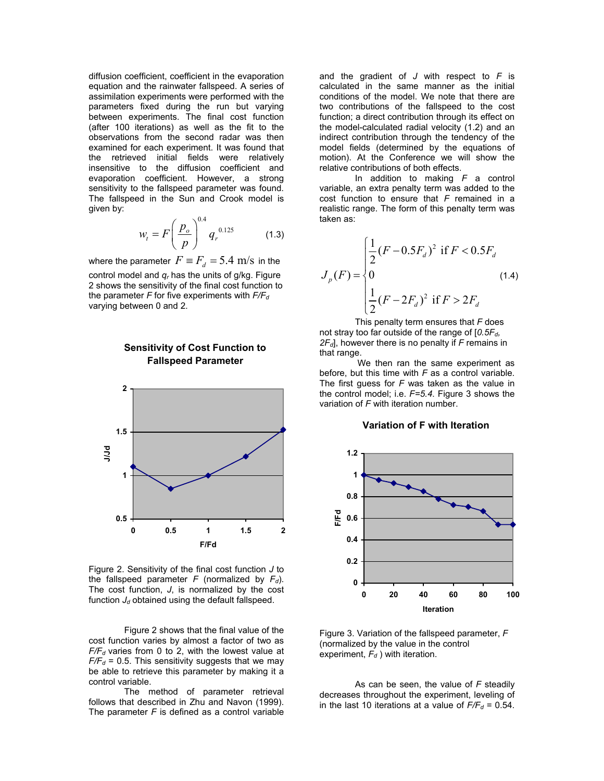diffusion coefficient, coefficient in the evaporation equation and the rainwater fallspeed. A series of assimilation experiments were performed with the parameters fixed during the run but varying between experiments. The final cost function (after 100 iterations) as well as the fit to the observations from the second radar was then examined for each experiment. It was found that the retrieved initial fields were relatively insensitive to the diffusion coefficient and evaporation coefficient. However, a strong sensitivity to the fallspeed parameter was found. The fallspeed in the Sun and Crook model is given by:

$$
W_t = F \left(\frac{p_o}{p}\right)^{0.4} q_r^{0.125} \tag{1.3}
$$

where the parameter  $F \equiv F_{d} = 5.4 \, \text{m/s}$  in the control model and *qr* has the units of g/kg. Figure 2 shows the sensitivity of the final cost function to the parameter  $F$  for five experiments with  $F/F_d$ varying between 0 and 2.

> **Sensitivity of Cost Function to Fallspeed Parameter**



Figure 2. Sensitivity of the final cost function *J* to the fallspeed parameter  $F$  (normalized by  $F_d$ ). The cost function, *J*, is normalized by the cost function  $J_d$  obtained using the default fallspeed.

Figure 2 shows that the final value of the cost function varies by almost a factor of two as  $F/F<sub>d</sub>$  varies from 0 to 2, with the lowest value at  $F/F<sub>d</sub>$  = 0.5. This sensitivity suggests that we may be able to retrieve this parameter by making it a control variable.

The method of parameter retrieval follows that described in Zhu and Navon (1999). The parameter *F* is defined as a control variable

and the gradient of *J* with respect to *F* is calculated in the same manner as the initial conditions of the model. We note that there are two contributions of the fallspeed to the cost function; a direct contribution through its effect on the model-calculated radial velocity (1.2) and an indirect contribution through the tendency of the model fields (determined by the equations of motion). At the Conference we will show the relative contributions of both effects.

In addition to making *F* a control variable, an extra penalty term was added to the cost function to ensure that *F* remained in a realistic range. The form of this penalty term was taken as:

$$
J_p(F) = \begin{cases} \frac{1}{2}(F - 0.5F_d)^2 & \text{if } F < 0.5F_d \\ 0 & (1.4) \\ \frac{1}{2}(F - 2F_d)^2 & \text{if } F > 2F_d \end{cases}
$$

This penalty term ensures that *F* does not stray too far outside of the range of [*0.5Fd, 2Fd*], however there is no penalty if *F* remains in that range.

We then ran the same experiment as before, but this time with *F* as a control variable. The first guess for *F* was taken as the value in the control model; i.e. *F=5.4*. Figure 3 shows the variation of *F* with iteration number.

## **Variation of F with Iteration**



Figure 3. Variation of the fallspeed parameter, *F*  (normalized by the value in the control experiment,  $F_d$ ) with iteration.

As can be seen, the value of *F* steadily decreases throughout the experiment, leveling of in the last 10 iterations at a value of  $F/F_d = 0.54$ .